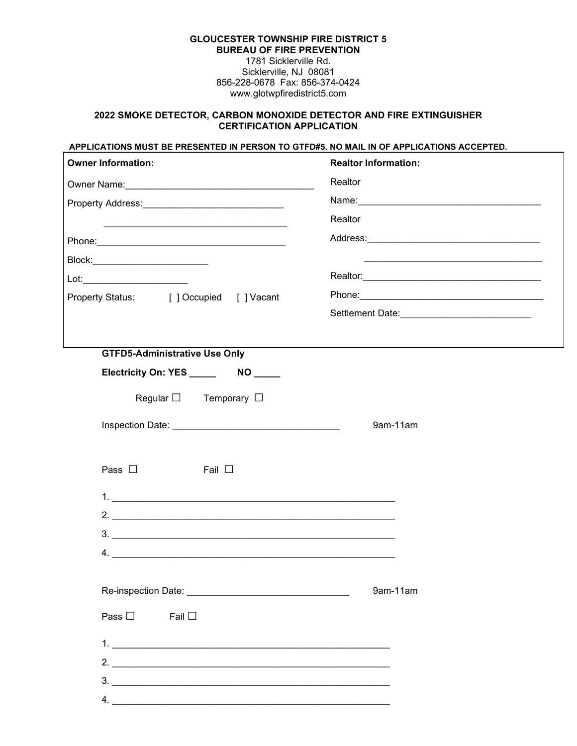### **GLOUCESTER TOWNSHIP FIRE DISTRICT 5 BUREAU OF FIRE PREVENTION** 1781 Sicklerville Rd.

Sicklerville, NJ 08081 856-228-0678 Fax: 856-374-0424 www.glotwpfiredistrict5.com

#### **2022 SMOKE DETECTOR, CARBON MONOXIDE DETECTOR AND FIRE EXTINGUISHER CERTIFICATION APPLICATION**

#### **APPLICATIONS MUST BE PRESENTED IN PERSON TO GTFD#5. NO MAIL IN OF APPLICATIONS ACCEPTED.**

| <b>Owner Information:</b>                                                   | <b>Realtor Information:</b> |
|-----------------------------------------------------------------------------|-----------------------------|
| Owner Name: <u>Communications</u>                                           | Realtor                     |
| Property Address: Management Contract and Contract of the Property Address: |                             |
|                                                                             | Realtor                     |
|                                                                             |                             |
|                                                                             |                             |
|                                                                             |                             |
| Property Status: [ ] Occupied [ ] Vacant                                    |                             |
|                                                                             |                             |
|                                                                             |                             |
| <b>GTFD5-Administrative Use Only</b>                                        |                             |
|                                                                             |                             |
| Regular $\square$ Temporary $\square$                                       |                             |
| <b>Inspection Date: Example 2018</b>                                        | 9am-11am                    |
|                                                                             |                             |
| Pass $\square$<br>Fail $\Box$                                               |                             |
| $1.$ $\overline{\phantom{a}}$                                               |                             |
| $2.$ $\overline{\phantom{a}}$                                               |                             |
| $3.$ $\overline{\phantom{a}}$                                               |                             |
| 4.                                                                          |                             |
|                                                                             |                             |
|                                                                             | 9am-11am                    |
| Pass $\square$<br>Fail $\square$                                            |                             |
|                                                                             |                             |
| 2.                                                                          |                             |
| 3.                                                                          |                             |
| 4.                                                                          |                             |